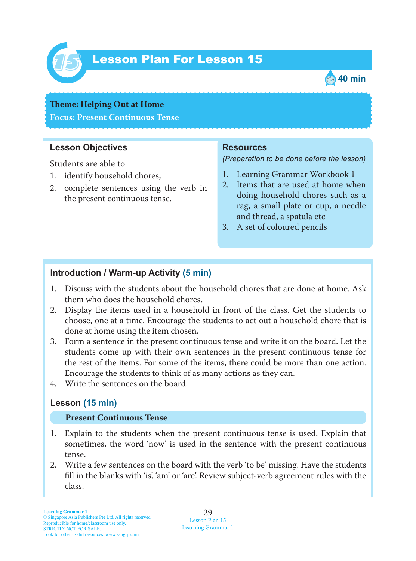

# Lesson Plan For Lesson 15 *15*



# **Theme: Helping Out at Home Focus: Present Continuous Tense**

#### **Lesson Objectives**

Students are able to

- 1. identify household chores,
- 2. complete sentences using the verb in the present continuous tense.

#### **Resources**

*(Preparation to be done before the lesson)*

- 1. Learning Grammar Workbook 1
- 2. Items that are used at home when doing household chores such as a rag, a small plate or cup, a needle and thread, a spatula etc
- 3. A set of coloured pencils

#### **Introduction / Warm-up Activity (5 min)**

- 1. Discuss with the students about the household chores that are done at home. Ask them who does the household chores.
- 2. Display the items used in a household in front of the class. Get the students to choose, one at a time. Encourage the students to act out a household chore that is done at home using the item chosen.
- 3. Form a sentence in the present continuous tense and write it on the board. Let the students come up with their own sentences in the present continuous tense for the rest of the items. For some of the items, there could be more than one action. Encourage the students to think of as many actions as they can.
- 4. Write the sentences on the board.

# **Lesson (15 min)**

#### **Present Continuous Tense**

- 1. Explain to the students when the present continuous tense is used. Explain that sometimes, the word 'now' is used in the sentence with the present continuous tense.
- 2. Write a few sentences on the board with the verb 'to be' missing. Have the students fill in the blanks with 'is', 'am' or 'are'. Review subject-verb agreement rules with the class.